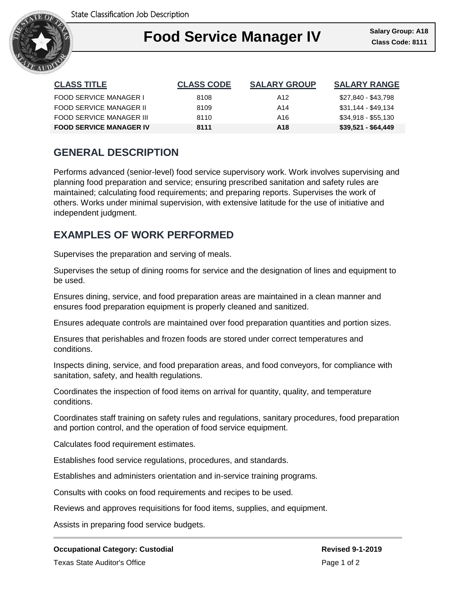

### Ι **Food Service Manager IV Class Code: 8111**

| <b>CLASS TITLE</b>             | <b>CLASS CODE</b> | <b>SALARY GROUP</b> | <b>SALARY RANGE</b> |
|--------------------------------|-------------------|---------------------|---------------------|
| FOOD SERVICE MANAGER I         | 8108              | A12                 | \$27,840 - \$43,798 |
| FOOD SERVICE MANAGER II        | 8109              | A14                 | \$31,144 - \$49,134 |
| FOOD SERVICE MANAGER III       | 8110              | A16                 | \$34,918 - \$55,130 |
| <b>FOOD SERVICE MANAGER IV</b> | 8111              | A18                 | $$39,521 - $64,449$ |

# **GENERAL DESCRIPTION**

Performs advanced (senior-level) food service supervisory work. Work involves supervising and planning food preparation and service; ensuring prescribed sanitation and safety rules are maintained; calculating food requirements; and preparing reports. Supervises the work of others. Works under minimal supervision, with extensive latitude for the use of initiative and independent judgment.

## **EXAMPLES OF WORK PERFORMED**

Supervises the preparation and serving of meals.

Supervises the setup of dining rooms for service and the designation of lines and equipment to be used.

Ensures dining, service, and food preparation areas are maintained in a clean manner and ensures food preparation equipment is properly cleaned and sanitized.

Ensures adequate controls are maintained over food preparation quantities and portion sizes.

Ensures that perishables and frozen foods are stored under correct temperatures and conditions.

Inspects dining, service, and food preparation areas, and food conveyors, for compliance with sanitation, safety, and health regulations.

Coordinates the inspection of food items on arrival for quantity, quality, and temperature conditions.

Coordinates staff training on safety rules and regulations, sanitary procedures, food preparation and portion control, and the operation of food service equipment.

Calculates food requirement estimates.

Establishes food service regulations, procedures, and standards.

Establishes and administers orientation and in-service training programs.

Consults with cooks on food requirements and recipes to be used.

Reviews and approves requisitions for food items, supplies, and equipment.

Assists in preparing food service budgets.